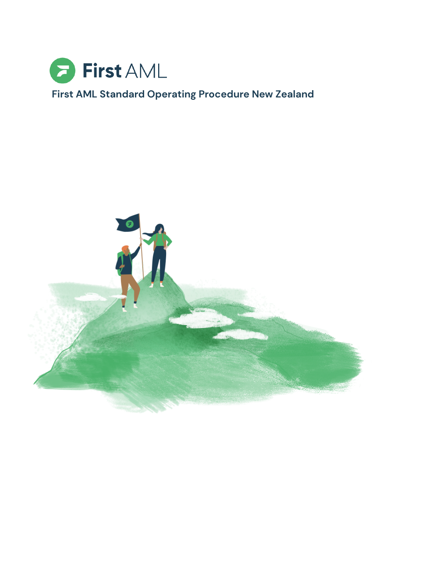

# **First AML Standard Operating Procedure New Zealand**

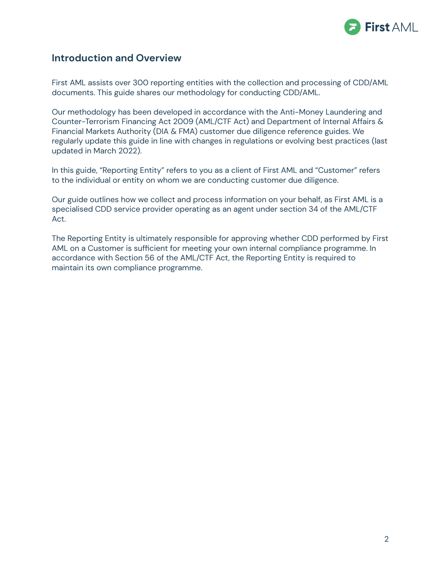

## **Introduction and Overview**

First AML assists over 300 reporting entities with the collection and processing of CDD/AML documents. This guide shares our methodology for conducting CDD/AML.

Our methodology has been developed in accordance with the Anti-Money Laundering and Counter-Terrorism Financing Act 2009 (AML/CTF Act) and Department of Internal Affairs & Financial Markets Authority (DIA & FMA) customer due diligence reference guides. We regularly update this guide in line with changes in regulations or evolving best practices (last updated in March 2022).

In this guide, "Reporting Entity" refers to you as a client of First AML and "Customer" refers to the individual or entity on whom we are conducting customer due diligence.

Our guide outlines how we collect and process information on your behalf, as First AML is a specialised CDD service provider operating as an agent under section 34 of the AML/CTF Act.

The Reporting Entity is ultimately responsible for approving whether CDD performed by First AML on a Customer is sufficient for meeting your own internal compliance programme. In accordance with Section 56 of the AML/CTF Act, the Reporting Entity is required to maintain its own compliance programme.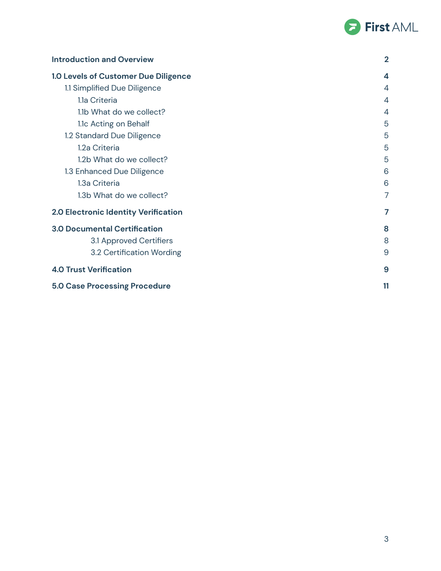

| <b>Introduction and Overview</b>     | $\overline{2}$   |
|--------------------------------------|------------------|
| 1.0 Levels of Customer Due Diligence | $\boldsymbol{4}$ |
| 1.1 Simplified Due Diligence         | 4                |
| 1.1a Criteria                        | 4                |
| 1.1b What do we collect?             | $\overline{4}$   |
| 1.1c Acting on Behalf                | 5                |
| 1.2 Standard Due Diligence           | 5                |
| 1.2a Criteria                        | 5                |
| 1.2b What do we collect?             | 5                |
| 1.3 Enhanced Due Diligence           | 6                |
| 1.3a Criteria                        | 6                |
| 1.3b What do we collect?             | 7                |
| 2.0 Electronic Identity Verification | 7                |
| <b>3.0 Documental Certification</b>  | 8                |
| 3.1 Approved Certifiers              | 8                |
| 3.2 Certification Wording            | 9                |
| <b>4.0 Trust Verification</b>        | 9                |
| <b>5.0 Case Processing Procedure</b> | 11               |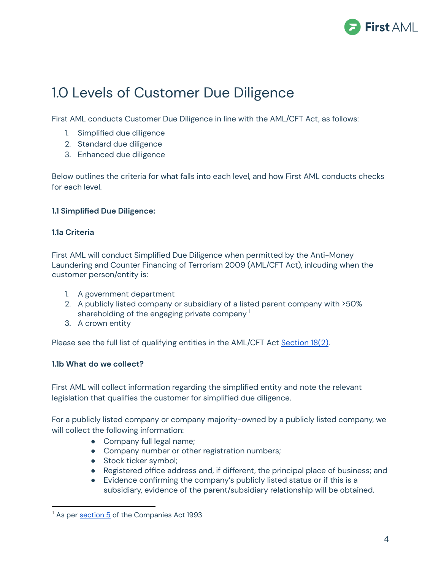

# 1.0 Levels of Customer Due Diligence

First AML conducts Customer Due Diligence in line with the AML/CFT Act, as follows:

- 1. Simplified due diligence
- 2. Standard due diligence
- 3. Enhanced due diligence

Below outlines the criteria for what falls into each level, and how First AML conducts checks for each level.

## **1.1 Simplified Due Diligence:**

## **1.1a Criteria**

First AML will conduct Simplified Due Diligence when permitted by the Anti-Money Laundering and Counter Financing of Terrorism 2009 (AML/CFT Act), inlcuding when the customer person/entity is:

- 1. A government department
- 2. A publicly listed company or subsidiary of a listed parent company with >50% shareholding of the engaging private company  $^{\rm 1}$
- 3. A crown entity

Please see the full list of qualifying entities in the AML/CFT Act [Section](https://www.legislation.govt.nz/act/public/2009/0035/latest/DLM2333612.html?search=sw_096be8ed81ba1331_agent_25_se&p=1) 18(2).

## **1.1b What do we collect?**

First AML will collect information regarding the simplified entity and note the relevant legislation that qualifies the customer for simplified due diligence.

For a publicly listed company or company majority-owned by a publicly listed company, we will collect the following information:

- Company full legal name;
- Company number or other registration numbers;
- Stock ticker symbol;
- Registered office address and, if different, the principal place of business; and
- Evidence confirming the company's publicly listed status or if this is a subsidiary, evidence of the parent/subsidiary relationship will be obtained.

<sup>&</sup>lt;sup>1</sup> As per [section](https://www.legislation.govt.nz/act/public/1993/0105/latest/DLM319999.html) 5 of the Companies Act 1993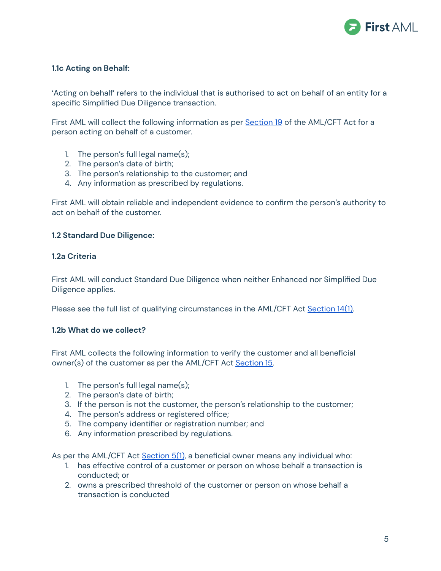

## **1.1c Acting on Behalf:**

'Acting on behalf' refers to the individual that is authorised to act on behalf of an entity for a specific Simplified Due Diligence transaction.

First AML will collect the following information as per **[Section](https://www.legislation.govt.nz/act/public/2009/0035/latest/DLM2140858.html?search=sw_096be8ed81ba1331_agent_25_se&p=1) 19** of the AML/CFT Act for a person acting on behalf of a customer.

- 1. The person's full legal name(s);
- 2. The person's date of birth;
- 3. The person's relationship to the customer; and
- 4. Any information as prescribed by regulations.

First AML will obtain reliable and independent evidence to confirm the person's authority to act on behalf of the customer.

### **1.2 Standard Due Diligence:**

### **1.2a Criteria**

First AML will conduct Standard Due Diligence when neither Enhanced nor Simplified Due Diligence applies.

Please see the full list of qualifying circumstances in the AML/CFT Act [Section](https://www.legislation.govt.nz/act/public/2009/0035/latest/DLM2140852.html?search=sw_096be8ed81ba1331_agent_25_se&p=1) 14(1).

#### **1.2b What do we collect?**

First AML collects the following information to verify the customer and all beneficial owner(s) of the customer as per the AML/CFT Act [Section](https://www.legislation.govt.nz/act/public/2009/0035/latest/DLM2140853.html?search=sw_096be8ed81ba1331_agent_25_se&p=1) 15.

- 1. The person's full legal name(s);
- 2. The person's date of birth;
- 3. If the person is not the customer, the person's relationship to the customer;
- 4. The person's address or registered office;
- 5. The company identifier or registration number; and
- 6. Any information prescribed by regulations.

As per the AML/CFT Act [Section](https://www.legislation.govt.nz/act/public/2009/0035/latest/DLM2140727.html?search=sw_096be8ed81ba1331_agent_25_se&p=1) 5(1), a beneficial owner means any individual who:

- 1. has effective control of a customer or person on whose behalf a transaction is conducted; or
- 2. owns a prescribed threshold of the customer or person on whose behalf a transaction is conducted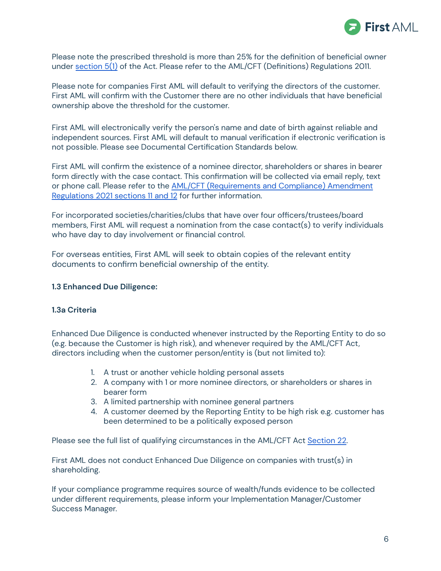

Please note the prescribed threshold is more than 25% for the definition of beneficial owner under [section](https://www.legislation.govt.nz/act/public/2009/0035/latest/DLM2140727.html?search=sw_096be8ed81ba1331_agent_25_se&p=1) 5(1) of the Act. Please refer to the AML/CFT (Definitions) Regulations 2011.

Please note for companies First AML will default to verifying the directors of the customer. First AML will confirm with the Customer there are no other individuals that have beneficial ownership above the threshold for the customer.

First AML will electronically verify the person's name and date of birth against reliable and independent sources. First AML will default to manual verification if electronic verification is not possible. Please see Documental Certification Standards below.

First AML will confirm the existence of a nominee director, shareholders or shares in bearer form directly with the case contact. This confirmation will be collected via email reply, text or phone call. Please refer to the AML/CFT [\(Requirements](https://www.legislation.govt.nz/regulation/public/2021/0147/latest/whole.html) and Compliance) Amendment [Regulations](https://www.legislation.govt.nz/regulation/public/2021/0147/latest/whole.html) 2021 sections 11 and 12 for further information.

For incorporated societies/charities/clubs that have over four officers/trustees/board members, First AML will request a nomination from the case contact(s) to verify individuals who have day to day involvement or financial control.

For overseas entities, First AML will seek to obtain copies of the relevant entity documents to confirm beneficial ownership of the entity.

#### **1.3 Enhanced Due Diligence:**

## **1.3a Criteria**

Enhanced Due Diligence is conducted whenever instructed by the Reporting Entity to do so (e.g. because the Customer is high risk), and whenever required by the AML/CFT Act, directors including when the customer person/entity is (but not limited to):

- 1. A trust or another vehicle holding personal assets
- 2. A company with 1 or more nominee directors, or shareholders or shares in bearer form
- 3. A limited partnership with nominee general partners
- 4. A customer deemed by the Reporting Entity to be high risk e.g. customer has been determined to be a politically exposed person

Please see the full list of qualifying circumstances in the AML/CFT Act [Section](https://www.legislation.govt.nz/act/public/2009/0035/latest/DLM2333613.html?search=sw_096be8ed81ba1331_agent_25_se&p=1) 22.

First AML does not conduct Enhanced Due Diligence on companies with trust(s) in shareholding.

If your compliance programme requires source of wealth/funds evidence to be collected under different requirements, please inform your Implementation Manager/Customer Success Manager.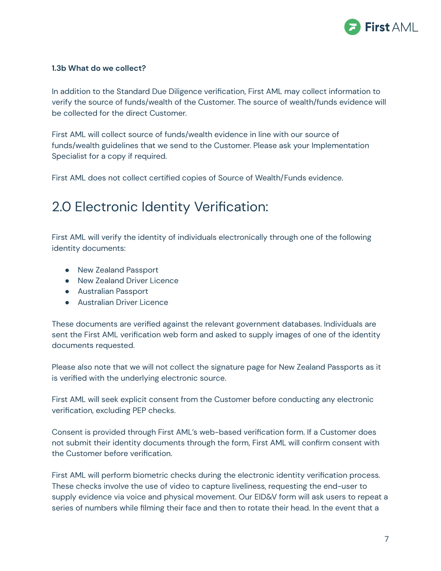

### **1.3b What do we collect?**

In addition to the Standard Due Diligence verification, First AML may collect information to verify the source of funds/wealth of the Customer. The source of wealth/funds evidence will be collected for the direct Customer.

First AML will collect source of funds/wealth evidence in line with our source of funds/wealth guidelines that we send to the Customer. Please ask your Implementation Specialist for a copy if required.

First AML does not collect certified copies of Source of Wealth/Funds evidence.

# 2.0 Electronic Identity Verification:

First AML will verify the identity of individuals electronically through one of the following identity documents:

- New Zealand Passport
- New Zealand Driver Licence
- Australian Passport
- Australian Driver Licence

These documents are verified against the relevant government databases. Individuals are sent the First AML verification web form and asked to supply images of one of the identity documents requested.

Please also note that we will not collect the signature page for New Zealand Passports as it is verified with the underlying electronic source.

First AML will seek explicit consent from the Customer before conducting any electronic verification, excluding PEP checks.

Consent is provided through First AML's web-based verification form. If a Customer does not submit their identity documents through the form, First AML will confirm consent with the Customer before verification.

First AML will perform biometric checks during the electronic identity verification process. These checks involve the use of video to capture liveliness, requesting the end-user to supply evidence via voice and physical movement. Our EID&V form will ask users to repeat a series of numbers while filming their face and then to rotate their head. In the event that a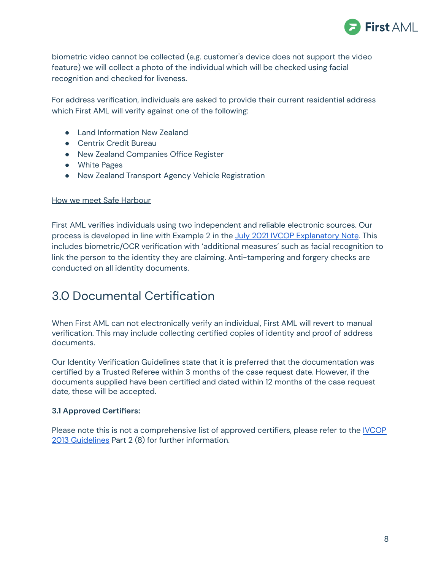

biometric video cannot be collected (e.g. customer's device does not support the video feature) we will collect a photo of the individual which will be checked using facial recognition and checked for liveness.

For address verification, individuals are asked to provide their current residential address which First AML will verify against one of the following:

- Land Information New Zealand
- Centrix Credit Bureau
- New Zealand Companies Office Register
- White Pages
- New Zealand Transport Agency Vehicle Registration

### How we meet Safe Harbour

First AML verifies individuals using two independent and reliable electronic sources. Our process is developed in line with Example 2 in the July 2021 IVCOP [Explanatory](https://www.rbnz.govt.nz/-/media/ReserveBank/Files/regulation-and-supervision/anti-money-laundering/guidance-and-publications/Updated-Explanatory-Note-AIVCOP.pdf?revision=bb71006b-db93-4932-818b-f35eb834a5a9&la=en) Note. This includes biometric/OCR verification with 'additional measures' such as facial recognition to link the person to the identity they are claiming. Anti-tampering and forgery checks are conducted on all identity documents.

## 3.0 Documental Certification

When First AML can not electronically verify an individual, First AML will revert to manual verification. This may include collecting certified copies of identity and proof of address documents.

Our Identity Verification Guidelines state that it is preferred that the documentation was certified by a Trusted Referee within 3 months of the case request date. However, if the documents supplied have been certified and dated within 12 months of the case request date, these will be accepted.

## **3.1 Approved Certifiers:**

Please note this is not a comprehensive list of approved certifiers, please refer to the [IVCOP](https://www.fma.govt.nz/assets/Guidance/Amended-identity-verification-code-of-practice-aml-cft-2013.pdf) 2013 [Guidelines](https://www.fma.govt.nz/assets/Guidance/Amended-identity-verification-code-of-practice-aml-cft-2013.pdf) Part 2 (8) for further information.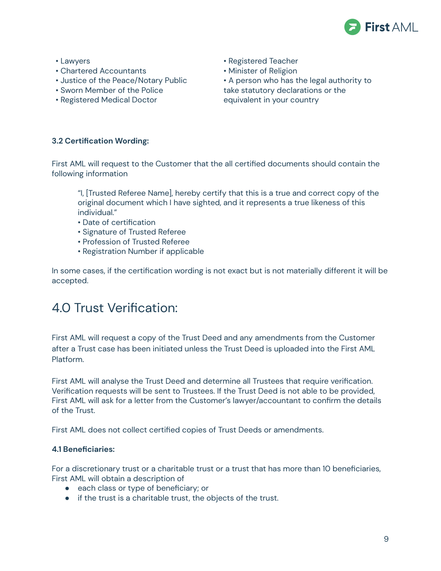

- Lawyers
- Chartered Accountants
- Justice of the Peace/Notary Public
- Sworn Member of the Police
- Registered Medical Doctor
- Registered Teacher
- Minister of Religion
- A person who has the legal authority to take statutory declarations or the equivalent in your country

## **3.2 Certification Wording:**

First AML will request to the Customer that the all certified documents should contain the following information

"I, [Trusted Referee Name], hereby certify that this is a true and correct copy of the original document which I have sighted, and it represents a true likeness of this individual."

- Date of certification
- Signature of Trusted Referee
- Profession of Trusted Referee
- Registration Number if applicable

In some cases, if the certification wording is not exact but is not materially different it will be accepted.

## 4.0 Trust Verification:

First AML will request a copy of the Trust Deed and any amendments from the Customer after a Trust case has been initiated unless the Trust Deed is uploaded into the First AML Platform.

First AML will analyse the Trust Deed and determine all Trustees that require verification. Verification requests will be sent to Trustees. If the Trust Deed is not able to be provided, First AML will ask for a letter from the Customer's lawyer/accountant to confirm the details of the Trust.

First AML does not collect certified copies of Trust Deeds or amendments.

## **4.1 Beneficiaries:**

For a discretionary trust or a charitable trust or a trust that has more than 10 beneficiaries, First AML will obtain a description of

- each class or type of beneficiary; or
- if the trust is a charitable trust, the objects of the trust.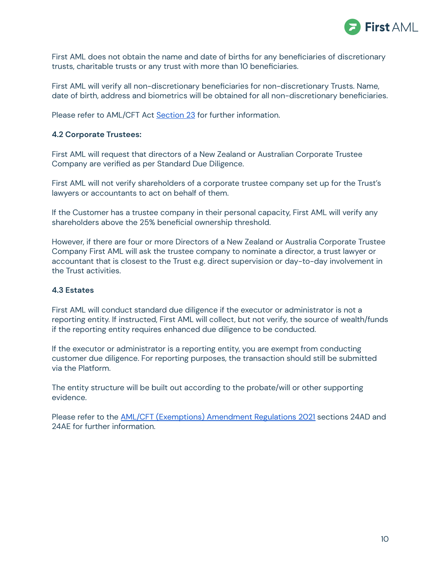

First AML does not obtain the name and date of births for any beneficiaries of discretionary trusts, charitable trusts or any trust with more than 10 beneficiaries.

First AML will verify all non-discretionary beneficiaries for non-discretionary Trusts. Name, date of birth, address and biometrics will be obtained for all non-discretionary beneficiaries.

Please refer to AML/CFT Act [Section](https://www.legislation.govt.nz/act/public/2009/0035/latest/DLM2140863.html?search=sw_096be8ed81ba1331_agent_25_se&p=1) 23 for further information.

### **4.2 Corporate Trustees:**

First AML will request that directors of a New Zealand or Australian Corporate Trustee Company are verified as per Standard Due Diligence.

First AML will not verify shareholders of a corporate trustee company set up for the Trust's lawyers or accountants to act on behalf of them.

If the Customer has a trustee company in their personal capacity, First AML will verify any shareholders above the 25% beneficial ownership threshold.

However, if there are four or more Directors of a New Zealand or Australia Corporate Trustee Company First AML will ask the trustee company to nominate a director, a trust lawyer or accountant that is closest to the Trust e.g. direct supervision or day-to-day involvement in the Trust activities.

## **4.3 Estates**

First AML will conduct standard due diligence if the executor or administrator is not a reporting entity. If instructed, First AML will collect, but not verify, the source of wealth/funds if the reporting entity requires enhanced due diligence to be conducted.

If the executor or administrator is a reporting entity, you are exempt from conducting customer due diligence. For reporting purposes, the transaction should still be submitted via the Platform.

The entity structure will be built out according to the probate/will or other supporting evidence.

Please refer to the AML/CFT [\(Exemptions\)](https://www.dia.govt.nz/AML-CFT-Expiring-regulations---Update-June-2021) Amendment Regulations 2021 sections 24AD and 24AE for further information.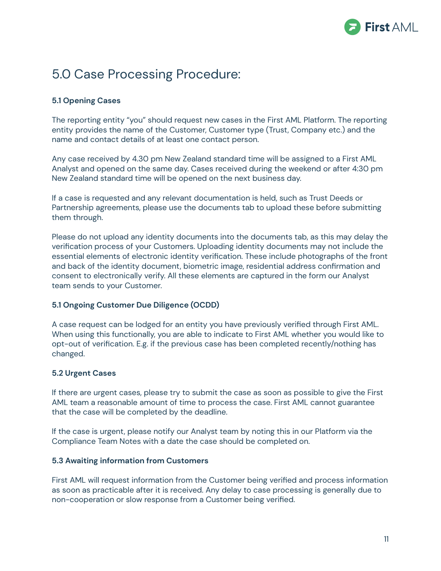

## 5.0 Case Processing Procedure:

## **5.1 Opening Cases**

The reporting entity "you" should request new cases in the First AML Platform. The reporting entity provides the name of the Customer, Customer type (Trust, Company etc.) and the name and contact details of at least one contact person.

Any case received by 4.30 pm New Zealand standard time will be assigned to a First AML Analyst and opened on the same day. Cases received during the weekend or after 4:30 pm New Zealand standard time will be opened on the next business day.

If a case is requested and any relevant documentation is held, such as Trust Deeds or Partnership agreements, please use the documents tab to upload these before submitting them through.

Please do not upload any identity documents into the documents tab, as this may delay the verification process of your Customers. Uploading identity documents may not include the essential elements of electronic identity verification. These include photographs of the front and back of the identity document, biometric image, residential address confirmation and consent to electronically verify. All these elements are captured in the form our Analyst team sends to your Customer.

## **5.1 Ongoing Customer Due Diligence (OCDD)**

A case request can be lodged for an entity you have previously verified through First AML. When using this functionally, you are able to indicate to First AML whether you would like to opt-out of verification. E.g. if the previous case has been completed recently/nothing has changed.

## **5.2 Urgent Cases**

If there are urgent cases, please try to submit the case as soon as possible to give the First AML team a reasonable amount of time to process the case. First AML cannot guarantee that the case will be completed by the deadline.

If the case is urgent, please notify our Analyst team by noting this in our Platform via the Compliance Team Notes with a date the case should be completed on.

#### **5.3 Awaiting information from Customers**

First AML will request information from the Customer being verified and process information as soon as practicable after it is received. Any delay to case processing is generally due to non-cooperation or slow response from a Customer being verified.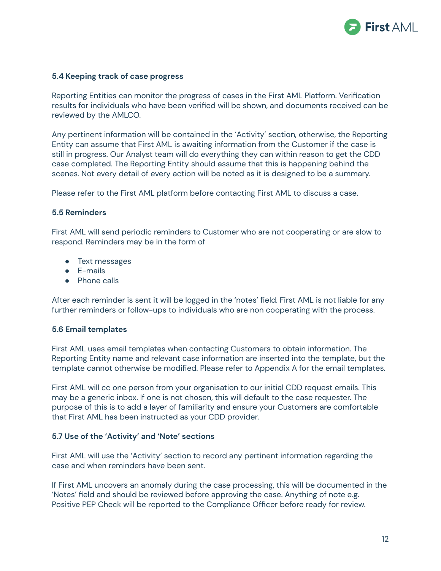

#### **5.4 Keeping track of case progress**

Reporting Entities can monitor the progress of cases in the First AML Platform. Verification results for individuals who have been verified will be shown, and documents received can be reviewed by the AMLCO.

Any pertinent information will be contained in the 'Activity' section, otherwise, the Reporting Entity can assume that First AML is awaiting information from the Customer if the case is still in progress. Our Analyst team will do everything they can within reason to get the CDD case completed. The Reporting Entity should assume that this is happening behind the scenes. Not every detail of every action will be noted as it is designed to be a summary.

Please refer to the First AML platform before contacting First AML to discuss a case.

#### **5.5 Reminders**

First AML will send periodic reminders to Customer who are not cooperating or are slow to respond. Reminders may be in the form of

- Text messages
- E-mails
- Phone calls

After each reminder is sent it will be logged in the 'notes' field. First AML is not liable for any further reminders or follow-ups to individuals who are non cooperating with the process.

#### **5.6 Email templates**

First AML uses email templates when contacting Customers to obtain information. The Reporting Entity name and relevant case information are inserted into the template, but the template cannot otherwise be modified. Please refer to Appendix A for the email templates.

First AML will cc one person from your organisation to our initial CDD request emails. This may be a generic inbox. If one is not chosen, this will default to the case requester. The purpose of this is to add a layer of familiarity and ensure your Customers are comfortable that First AML has been instructed as your CDD provider.

#### **5.7 Use of the 'Activity' and 'Note' sections**

First AML will use the 'Activity' section to record any pertinent information regarding the case and when reminders have been sent.

If First AML uncovers an anomaly during the case processing, this will be documented in the 'Notes' field and should be reviewed before approving the case. Anything of note e.g. Positive PEP Check will be reported to the Compliance Officer before ready for review.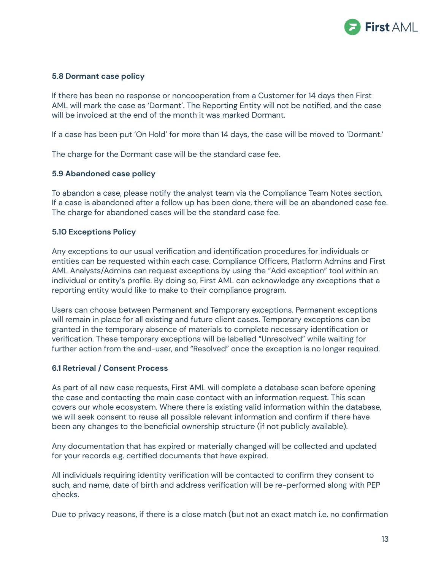

#### **5.8 Dormant case policy**

If there has been no response or noncooperation from a Customer for 14 days then First AML will mark the case as 'Dormant'. The Reporting Entity will not be notified, and the case will be invoiced at the end of the month it was marked Dormant.

If a case has been put 'On Hold' for more than 14 days, the case will be moved to 'Dormant.'

The charge for the Dormant case will be the standard case fee.

#### **5.9 Abandoned case policy**

To abandon a case, please notify the analyst team via the Compliance Team Notes section. If a case is abandoned after a follow up has been done, there will be an abandoned case fee. The charge for abandoned cases will be the standard case fee.

#### **5.10 Exceptions Policy**

Any exceptions to our usual verification and identification procedures for individuals or entities can be requested within each case. Compliance Officers, Platform Admins and First AML Analysts/Admins can request exceptions by using the "Add exception" tool within an individual or entity's profile. By doing so, First AML can acknowledge any exceptions that a reporting entity would like to make to their compliance program.

Users can choose between Permanent and Temporary exceptions. Permanent exceptions will remain in place for all existing and future client cases. Temporary exceptions can be granted in the temporary absence of materials to complete necessary identification or verification. These temporary exceptions will be labelled "Unresolved" while waiting for further action from the end-user, and "Resolved" once the exception is no longer required.

#### **6.1 Retrieval / Consent Process**

As part of all new case requests, First AML will complete a database scan before opening the case and contacting the main case contact with an information request. This scan covers our whole ecosystem. Where there is existing valid information within the database, we will seek consent to reuse all possible relevant information and confirm if there have been any changes to the beneficial ownership structure (if not publicly available).

Any documentation that has expired or materially changed will be collected and updated for your records e.g. certified documents that have expired.

All individuals requiring identity verification will be contacted to confirm they consent to such, and name, date of birth and address verification will be re-performed along with PEP checks.

Due to privacy reasons, if there is a close match (but not an exact match i.e. no confirmation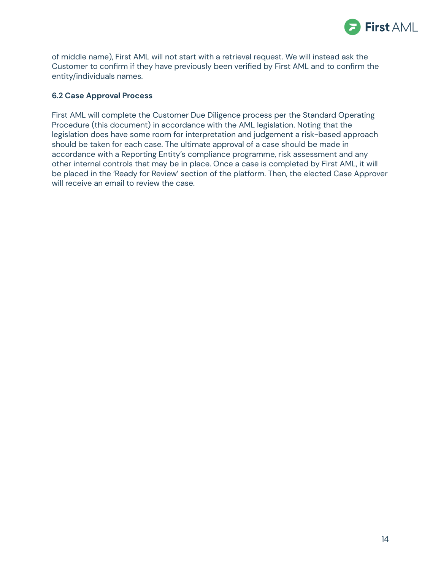

of middle name), First AML will not start with a retrieval request. We will instead ask the Customer to confirm if they have previously been verified by First AML and to confirm the entity/individuals names.

### **6.2 Case Approval Process**

First AML will complete the Customer Due Diligence process per the Standard Operating Procedure (this document) in accordance with the AML legislation. Noting that the legislation does have some room for interpretation and judgement a risk-based approach should be taken for each case. The ultimate approval of a case should be made in accordance with a Reporting Entity's compliance programme, risk assessment and any other internal controls that may be in place. Once a case is completed by First AML, it will be placed in the 'Ready for Review' section of the platform. Then, the elected Case Approver will receive an email to review the case.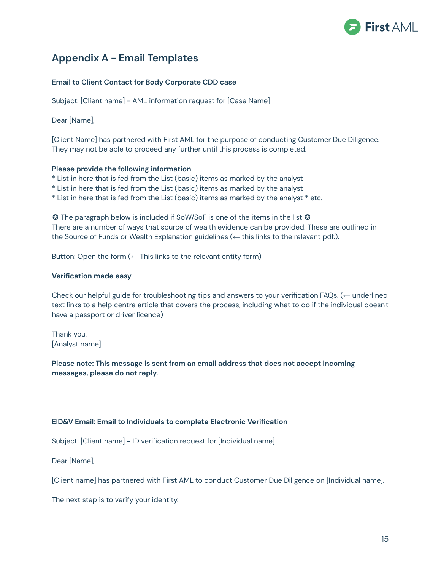

## **Appendix A - Email Templates**

#### **Email to Client Contact for Body Corporate CDD case**

Subject: [Client name] - AML information request for [Case Name]

Dear [Name],

[Client Name] has partnered with First AML for the purpose of conducting Customer Due Diligence. They may not be able to proceed any further until this process is completed.

#### **Please provide the following information**

- \* List in here that is fed from the List (basic) items as marked by the analyst
- \* List in here that is fed from the List (basic) items as marked by the analyst
- \* List in here that is fed from the List (basic) items as marked by the analyst \* etc.

**☉** The paragraph below is included if SoW/SoF is one of the items in the list **☉** There are a number of ways that source of wealth evidence can be provided. These are outlined in the Source of Funds or Wealth Explanation guidelines (← this links to the relevant pdf.).

Button: Open the form  $($  – This links to the relevant entity form)

#### **Verification made easy**

Check our helpful guide for troubleshooting tips and answers to your verification FAQs. (← underlined text links to a help centre article that covers the process, including what to do if the individual doesn't have a passport or driver licence)

Thank you, [Analyst name]

**Please note: This message is sent from an email address that does not accept incoming messages, please do not reply.**

#### **EID&V Email: Email to Individuals to complete Electronic Verification**

Subject: [Client name] - ID verification request for [Individual name]

Dear [Name],

[Client name] has partnered with First AML to conduct Customer Due Diligence on [Individual name].

The next step is to verify your identity.